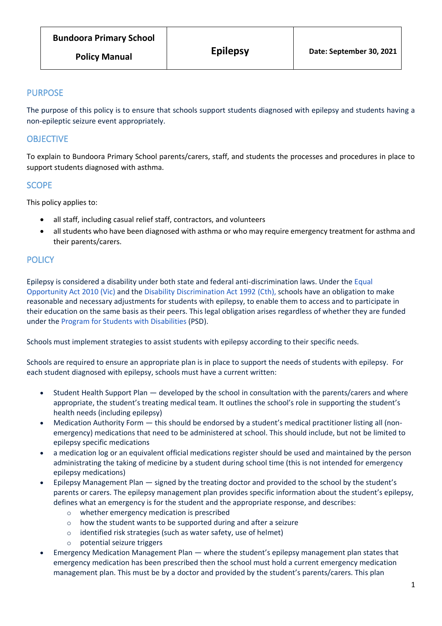# PURPOSE

The purpose of this policy is to ensure that schools support students diagnosed with epilepsy and students having a non-epileptic seizure event appropriately.

# **OBJECTIVE**

To explain to Bundoora Primary School parents/carers, staff, and students the processes and procedures in place to support students diagnosed with asthma.

## **SCOPE**

This policy applies to:

- all staff, including casual relief staff, contractors, and volunteers
- all students who have been diagnosed with asthma or who may require emergency treatment for asthma and their parents/carers.

# **POLICY**

Epilepsy is considered a disability under both state and federal anti-discrimination laws. Under the [Equal](https://www.legislation.vic.gov.au/in-force/acts/equal-opportunity-act-2010)  [Opportunity Act 2010](https://www.legislation.vic.gov.au/in-force/acts/equal-opportunity-act-2010) (Vic) and the [Disability Discrimination Act 1992](https://www.legislation.gov.au/Details/C2018C00125) (Cth), schools have an obligation to make reasonable and necessary adjustments for students with epilepsy, to enable them to access and to participate in their education on the same basis as their peers. This legal obligation arises regardless of whether they are funded under the [Program for Students with](https://www.education.vic.gov.au/school/teachers/learningneeds/Pages/psd.aspx) Disabilities (PSD).

Schools must implement strategies to assist students with epilepsy according to their specific needs.

Schools are required to ensure an appropriate plan is in place to support the needs of students with epilepsy. For each student diagnosed with epilepsy, schools must have a current written:

- Student Health Support Plan developed by the school in consultation with the parents/carers and where appropriate, the student's treating medical team. It outlines the school's role in supporting the student's health needs (including epilepsy)
- Medication Authority Form this should be endorsed by a student's medical practitioner listing all (nonemergency) medications that need to be administered at school. This should include, but not be limited to epilepsy specific medications
- a medication log or an equivalent official medications register should be used and maintained by the person administrating the taking of medicine by a student during school time (this is not intended for emergency epilepsy medications)
- Epilepsy Management Plan signed by the treating doctor and provided to the school by the student's parents or carers. The epilepsy management plan provides specific information about the student's epilepsy, defines what an emergency is for the student and the appropriate response, and describes:
	- o whether emergency medication is prescribed
	- o how the student wants to be supported during and after a seizure
	- o identified risk strategies (such as water safety, use of helmet)
	- o potential seizure triggers
- Emergency Medication Management Plan where the student's epilepsy management plan states that emergency medication has been prescribed then the school must hold a current emergency medication management plan. This must be by a doctor and provided by the student's parents/carers. This plan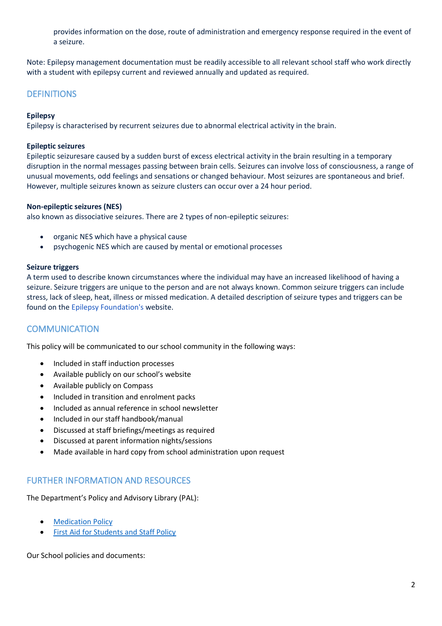provides information on the dose, route of administration and emergency response required in the event of a seizure.

Note: Epilepsy management documentation must be readily accessible to all relevant school staff who work directly with a student with epilepsy current and reviewed annually and updated as required.

## **DEFINITIONS**

#### **Epilepsy**

Epilepsy is characterised by recurrent seizures due to abnormal electrical activity in the brain.

#### **Epileptic seizures**

Epileptic seizuresare caused by a sudden burst of excess electrical activity in the brain resulting in a temporary disruption in the normal messages passing between brain cells. Seizures can involve loss of consciousness, a range of unusual movements, odd feelings and sensations or changed behaviour. Most seizures are spontaneous and brief. However, multiple seizures known as seizure clusters can occur over a 24 hour period.

#### **Non-epileptic seizures (NES)**

also known as dissociative seizures. There are 2 types of non-epileptic seizures:

- organic NES which have a physical cause
- psychogenic NES which are caused by mental or emotional processes

#### **Seizure triggers**

A term used to describe known circumstances where the individual may have an increased likelihood of having a seizure. Seizure triggers are unique to the person and are not always known. Common seizure triggers can include stress, lack of sleep, heat, illness or missed medication. A detailed description of seizure types and triggers can be found on the Epilepsy [Foundation's](https://epilepsyfoundation.org.au/understanding-epilepsy/seizures/) website.

### **COMMUNICATION**

This policy will be communicated to our school community in the following ways:

- Included in staff induction processes
- Available publicly on our school's website
- Available publicly on Compass
- Included in transition and enrolment packs
- Included as annual reference in school newsletter
- Included in our staff handbook/manual
- Discussed at staff briefings/meetings as required
- Discussed at parent information nights/sessions
- Made available in hard copy from school administration upon request

### FURTHER INFORMATION AND RESOURCES

The Department's Policy and Advisory Library (PAL):

- **[Medication Policy](https://www2.education.vic.gov.au/pal/medication/policy)**
- [First Aid for Students and Staff Policy](https://www2.education.vic.gov.au/pal/first-aid-students-and-staff/policy)

Our School policies and documents: